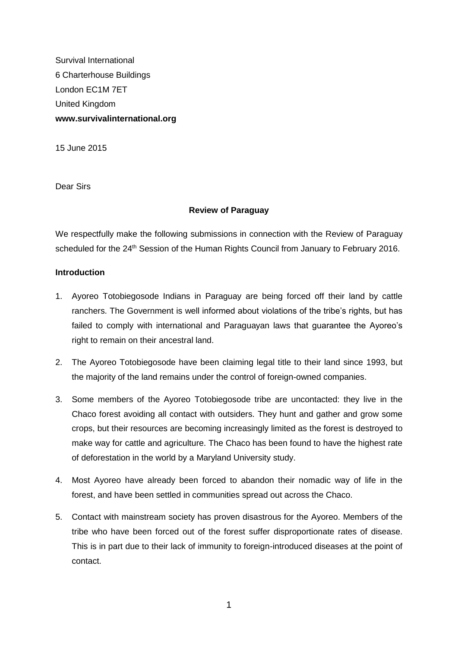Survival International 6 Charterhouse Buildings London EC1M 7ET United Kingdom **www.survivalinternational.org**

15 June 2015

Dear Sirs

# **Review of Paraguay**

We respectfully make the following submissions in connection with the Review of Paraguay scheduled for the 24<sup>th</sup> Session of the Human Rights Council from January to February 2016.

# **Introduction**

- 1. Ayoreo Totobiegosode Indians in Paraguay are being forced off their land by cattle ranchers. The Government is well informed about violations of the tribe's rights, but has failed to comply with international and Paraguayan laws that guarantee the Ayoreo's right to remain on their ancestral land.
- 2. The Ayoreo Totobiegosode have been claiming legal title to their land since 1993, but the majority of the land remains under the control of foreign-owned companies.
- 3. Some members of the Ayoreo Totobiegosode tribe are uncontacted: they live in the Chaco forest avoiding all contact with outsiders. They hunt and gather and grow some crops, but their resources are becoming increasingly limited as the forest is destroyed to make way for cattle and agriculture. The Chaco has been found to have the highest rate of deforestation in the world by a Maryland University study.
- 4. Most Ayoreo have already been forced to abandon their nomadic way of life in the forest, and have been settled in communities spread out across the Chaco.
- 5. Contact with mainstream society has proven disastrous for the Ayoreo. Members of the tribe who have been forced out of the forest suffer disproportionate rates of disease. This is in part due to their lack of immunity to foreign-introduced diseases at the point of contact.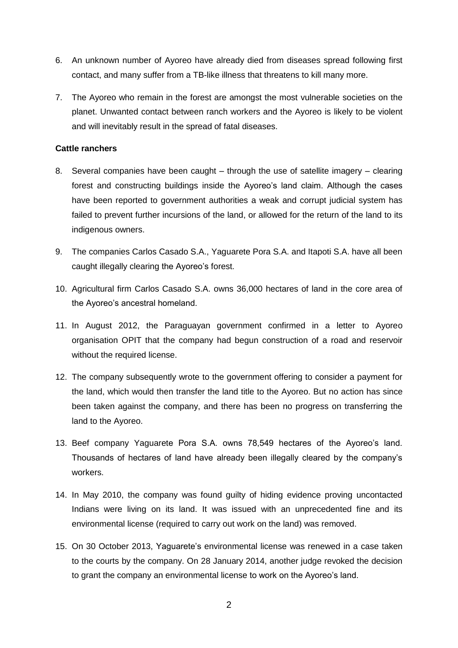- 6. An unknown number of Ayoreo have already died from diseases spread following first contact, and many suffer from a TB-like illness that threatens to kill many more.
- 7. The Ayoreo who remain in the forest are amongst the most vulnerable societies on the planet. Unwanted contact between ranch workers and the Ayoreo is likely to be violent and will inevitably result in the spread of fatal diseases.

# **Cattle ranchers**

- 8. Several companies have been caught through the use of satellite imagery clearing forest and constructing buildings inside the Ayoreo's land claim. Although the cases have been reported to government authorities a weak and corrupt judicial system has failed to prevent further incursions of the land, or allowed for the return of the land to its indigenous owners.
- 9. The companies Carlos Casado S.A., Yaguarete Pora S.A. and Itapoti S.A. have all been caught illegally clearing the Ayoreo's forest.
- 10. Agricultural firm Carlos Casado S.A. owns 36,000 hectares of land in the core area of the Ayoreo's ancestral homeland.
- 11. In August 2012, the Paraguayan government confirmed in a letter to Ayoreo organisation OPIT that the company had begun construction of a road and reservoir without the required license.
- 12. The company subsequently wrote to the government offering to consider a payment for the land, which would then transfer the land title to the Ayoreo. But no action has since been taken against the company, and there has been no progress on transferring the land to the Ayoreo.
- 13. Beef company Yaguarete Pora S.A. owns 78,549 hectares of the Ayoreo's land. Thousands of hectares of land have already been illegally cleared by the company's workers.
- 14. In May 2010, the company was found guilty of hiding evidence proving uncontacted Indians were living on its land. It was issued with an unprecedented fine and its environmental license (required to carry out work on the land) was removed.
- 15. On 30 October 2013, Yaguarete's environmental license was renewed in a case taken to the courts by the company. On 28 January 2014, another judge revoked the decision to grant the company an environmental license to work on the Ayoreo's land.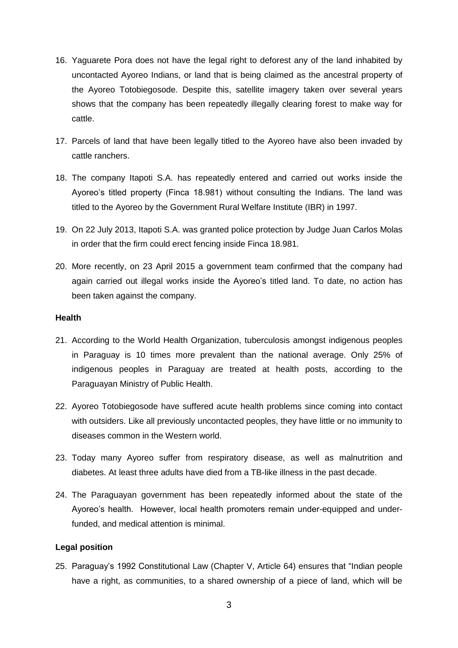- 16. Yaguarete Pora does not have the legal right to deforest any of the land inhabited by uncontacted Ayoreo Indians, or land that is being claimed as the ancestral property of the Ayoreo Totobiegosode. Despite this, satellite imagery taken over several years shows that the company has been repeatedly illegally clearing forest to make way for cattle.
- 17. Parcels of land that have been legally titled to the Ayoreo have also been invaded by cattle ranchers.
- 18. The company Itapoti S.A. has repeatedly entered and carried out works inside the Ayoreo's titled property (Finca 18.981) without consulting the Indians. The land was titled to the Ayoreo by the Government Rural Welfare Institute (IBR) in 1997.
- 19. On 22 July 2013, Itapoti S.A. was granted police protection by Judge Juan Carlos Molas in order that the firm could erect fencing inside Finca 18.981.
- 20. More recently, on 23 April 2015 a government team confirmed that the company had again carried out illegal works inside the Ayoreo's titled land. To date, no action has been taken against the company.

### **Health**

- 21. According to the World Health Organization, tuberculosis amongst indigenous peoples in Paraguay is 10 times more prevalent than the national average. Only 25% of indigenous peoples in Paraguay are treated at health posts, according to the Paraguayan Ministry of Public Health.
- 22. Ayoreo Totobiegosode have suffered acute health problems since coming into contact with outsiders. Like all previously uncontacted peoples, they have little or no immunity to diseases common in the Western world.
- 23. Today many Ayoreo suffer from respiratory disease, as well as malnutrition and diabetes. At least three adults have died from a TB-like illness in the past decade.
- 24. The Paraguayan government has been repeatedly informed about the state of the Ayoreo's health. However, local health promoters remain under-equipped and underfunded, and medical attention is minimal.

# **Legal position**

25. Paraguay's 1992 Constitutional Law (Chapter V, Article 64) ensures that "Indian people have a right, as communities, to a shared ownership of a piece of land, which will be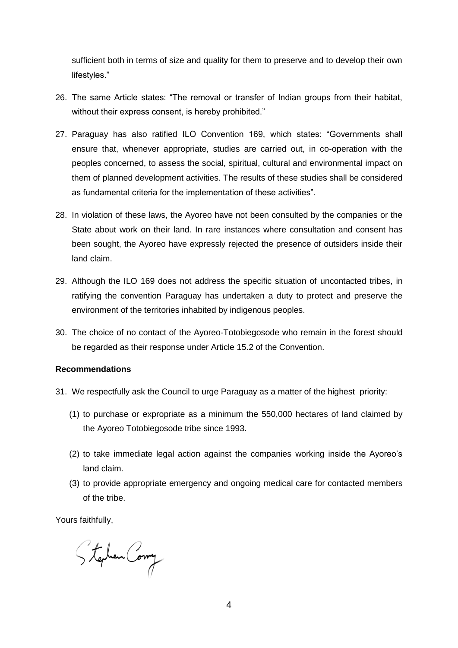sufficient both in terms of size and quality for them to preserve and to develop their own lifestyles."

- 26. The same Article states: "The removal or transfer of Indian groups from their habitat, without their express consent, is hereby prohibited."
- 27. Paraguay has also ratified ILO Convention 169, which states: "Governments shall ensure that, whenever appropriate, studies are carried out, in co-operation with the peoples concerned, to assess the social, spiritual, cultural and environmental impact on them of planned development activities. The results of these studies shall be considered as fundamental criteria for the implementation of these activities".
- 28. In violation of these laws, the Ayoreo have not been consulted by the companies or the State about work on their land. In rare instances where consultation and consent has been sought, the Ayoreo have expressly rejected the presence of outsiders inside their land claim.
- 29. Although the ILO 169 does not address the specific situation of uncontacted tribes, in ratifying the convention Paraguay has undertaken a duty to protect and preserve the environment of the territories inhabited by indigenous peoples.
- 30. The choice of no contact of the Ayoreo-Totobiegosode who remain in the forest should be regarded as their response under Article 15.2 of the Convention.

# **Recommendations**

- 31. We respectfully ask the Council to urge Paraguay as a matter of the highest priority:
	- (1) to purchase or expropriate as a minimum the 550,000 hectares of land claimed by the Ayoreo Totobiegosode tribe since 1993.
	- (2) to take immediate legal action against the companies working inside the Ayoreo's land claim.
	- (3) to provide appropriate emergency and ongoing medical care for contacted members of the tribe.

Yours faithfully,

Stephen Comy